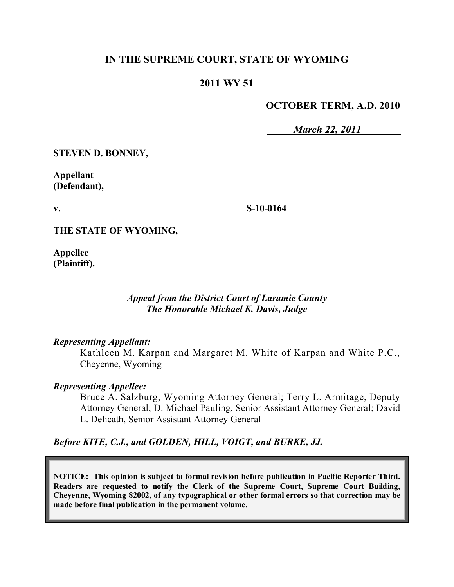## **IN THE SUPREME COURT, STATE OF WYOMING**

## **2011 WY 51**

### **OCTOBER TERM, A.D. 2010**

*March 22, 2011*

**STEVEN D. BONNEY,**

**Appellant (Defendant),**

**v.**

**S-10-0164**

**THE STATE OF WYOMING,**

**Appellee (Plaintiff).**

> *Appeal from the District Court of Laramie County The Honorable Michael K. Davis, Judge*

#### *Representing Appellant:*

Kathleen M. Karpan and Margaret M. White of Karpan and White P.C., Cheyenne, Wyoming

### *Representing Appellee:*

Bruce A. Salzburg, Wyoming Attorney General; Terry L. Armitage, Deputy Attorney General; D. Michael Pauling, Senior Assistant Attorney General; David L. Delicath, Senior Assistant Attorney General

*Before KITE, C.J., and GOLDEN, HILL, VOIGT, and BURKE, JJ.*

**NOTICE: This opinion is subject to formal revision before publication in Pacific Reporter Third. Readers are requested to notify the Clerk of the Supreme Court, Supreme Court Building, Cheyenne, Wyoming 82002, of any typographical or other formal errors so that correction may be made before final publication in the permanent volume.**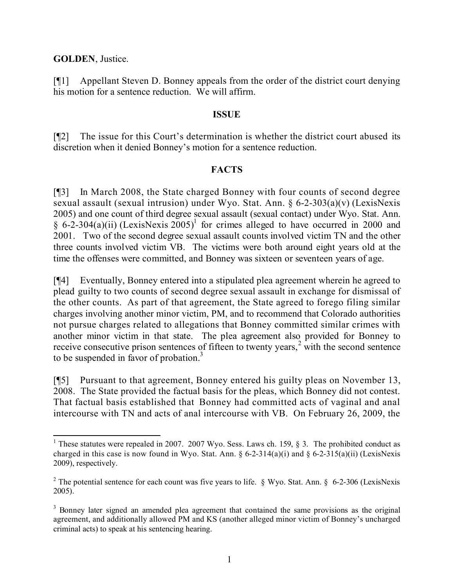#### **GOLDEN**, Justice.

[¶1] Appellant Steven D. Bonney appeals from the order of the district court denying his motion for a sentence reduction. We will affirm.

#### **ISSUE**

[¶2] The issue for this Court's determination is whether the district court abused its discretion when it denied Bonney's motion for a sentence reduction.

#### **FACTS**

[¶3] In March 2008, the State charged Bonney with four counts of second degree sexual assault (sexual intrusion) under Wyo. Stat. Ann. § 6-2-303(a)(v) (LexisNexis 2005) and one count of third degree sexual assault (sexual contact) under Wyo. Stat. Ann. § 6-2-304(a)(ii) (LexisNexis  $2005$ <sup>1</sup> for crimes alleged to have occurred in 2000 and 2001. Two of the second degree sexual assault counts involved victim TN and the other three counts involved victim VB. The victims were both around eight years old at the time the offenses were committed, and Bonney was sixteen or seventeen years of age.

[¶4] Eventually, Bonney entered into a stipulated plea agreement wherein he agreed to plead guilty to two counts of second degree sexual assault in exchange for dismissal of the other counts. As part of that agreement, the State agreed to forego filing similar charges involving another minor victim, PM, and to recommend that Colorado authorities not pursue charges related to allegations that Bonney committed similar crimes with another minor victim in that state. The plea agreement also provided for Bonney to receive consecutive prison sentences of fifteen to twenty years, $2 \text{ with the second sentence}$ to be suspended in favor of probation.<sup>3</sup>

[¶5] Pursuant to that agreement, Bonney entered his guilty pleas on November 13, 2008. The State provided the factual basis for the pleas, which Bonney did not contest. That factual basis established that Bonney had committed acts of vaginal and anal intercourse with TN and acts of anal intercourse with VB. On February 26, 2009, the

 $\overline{a}$ 

<sup>&</sup>lt;sup>1</sup> These statutes were repealed in 2007. 2007 Wyo. Sess. Laws ch. 159, § 3. The prohibited conduct as charged in this case is now found in Wyo. Stat. Ann.  $\S 6-2-314(a)(i)$  and  $\S 6-2-315(a)(ii)$  (LexisNexis 2009), respectively.

<sup>&</sup>lt;sup>2</sup> The potential sentence for each count was five years to life. § Wyo. Stat. Ann. § 6-2-306 (LexisNexis 2005).

<sup>&</sup>lt;sup>3</sup> Bonney later signed an amended plea agreement that contained the same provisions as the original agreement, and additionally allowed PM and KS (another alleged minor victim of Bonney's uncharged criminal acts) to speak at his sentencing hearing.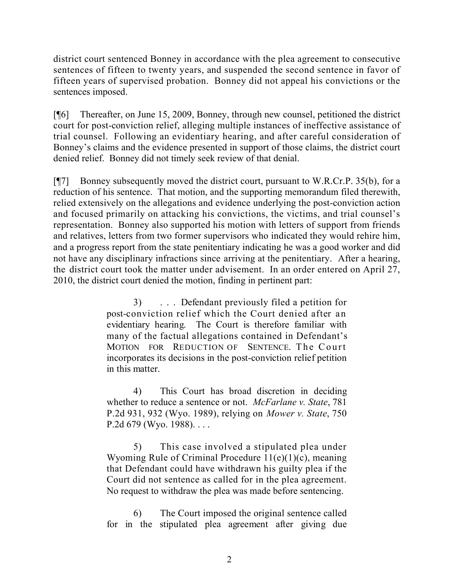district court sentenced Bonney in accordance with the plea agreement to consecutive sentences of fifteen to twenty years, and suspended the second sentence in favor of fifteen years of supervised probation. Bonney did not appeal his convictions or the sentences imposed.

[¶6] Thereafter, on June 15, 2009, Bonney, through new counsel, petitioned the district court for post-conviction relief, alleging multiple instances of ineffective assistance of trial counsel. Following an evidentiary hearing, and after careful consideration of Bonney's claims and the evidence presented in support of those claims, the district court denied relief. Bonney did not timely seek review of that denial.

[¶7] Bonney subsequently moved the district court, pursuant to W.R.Cr.P. 35(b), for a reduction of his sentence. That motion, and the supporting memorandum filed therewith, relied extensively on the allegations and evidence underlying the post-conviction action and focused primarily on attacking his convictions, the victims, and trial counsel's representation. Bonney also supported his motion with letters of support from friends and relatives, letters from two former supervisors who indicated they would rehire him, and a progress report from the state penitentiary indicating he was a good worker and did not have any disciplinary infractions since arriving at the penitentiary. After a hearing, the district court took the matter under advisement. In an order entered on April 27, 2010, the district court denied the motion, finding in pertinent part:

> 3) . . . Defendant previously filed a petition for post-conviction relief which the Court denied after an evidentiary hearing. The Court is therefore familiar with many of the factual allegations contained in Defendant's MOTION FOR REDUCTION OF SENTENCE. The Court incorporates its decisions in the post-conviction relief petition in this matter.

> 4) This Court has broad discretion in deciding whether to reduce a sentence or not. *McFarlane v. State*, 781 P.2d 931, 932 (Wyo. 1989), relying on *Mower v. State*, 750 P.2d  $679$  (Wyo. 1988)...

> 5) This case involved a stipulated plea under Wyoming Rule of Criminal Procedure 11(e)(1)(c), meaning that Defendant could have withdrawn his guilty plea if the Court did not sentence as called for in the plea agreement. No request to withdraw the plea was made before sentencing.

> 6) The Court imposed the original sentence called for in the stipulated plea agreement after giving due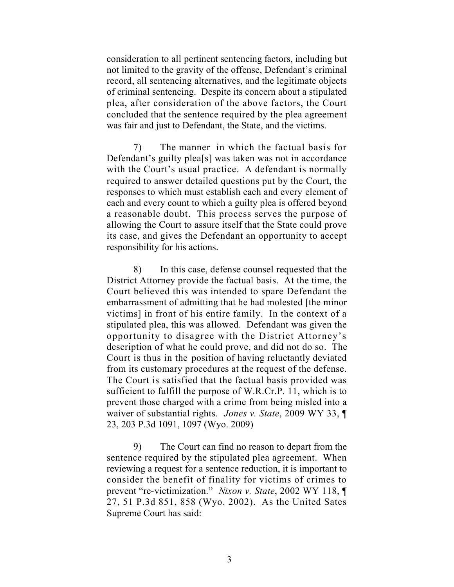consideration to all pertinent sentencing factors, including but not limited to the gravity of the offense, Defendant's criminal record, all sentencing alternatives, and the legitimate objects of criminal sentencing. Despite its concern about a stipulated plea, after consideration of the above factors, the Court concluded that the sentence required by the plea agreement was fair and just to Defendant, the State, and the victims.

7) The manner in which the factual basis for Defendant's guilty plea[s] was taken was not in accordance with the Court's usual practice. A defendant is normally required to answer detailed questions put by the Court, the responses to which must establish each and every element of each and every count to which a guilty plea is offered beyond a reasonable doubt. This process serves the purpose of allowing the Court to assure itself that the State could prove its case, and gives the Defendant an opportunity to accept responsibility for his actions.

8) In this case, defense counsel requested that the District Attorney provide the factual basis. At the time, the Court believed this was intended to spare Defendant the embarrassment of admitting that he had molested [the minor victims] in front of his entire family. In the context of a stipulated plea, this was allowed. Defendant was given the opportunity to disagree with the District Attorney's description of what he could prove, and did not do so. The Court is thus in the position of having reluctantly deviated from its customary procedures at the request of the defense. The Court is satisfied that the factual basis provided was sufficient to fulfill the purpose of W.R.Cr.P. 11, which is to prevent those charged with a crime from being misled into a waiver of substantial rights. *Jones v. State*, 2009 WY 33, ¶ 23, 203 P.3d 1091, 1097 (Wyo. 2009)

9) The Court can find no reason to depart from the sentence required by the stipulated plea agreement. When reviewing a request for a sentence reduction, it is important to consider the benefit of finality for victims of crimes to prevent "re-victimization." *Nixon v. State*, 2002 WY 118, ¶ 27, 51 P.3d 851, 858 (Wyo. 2002). As the United Sates Supreme Court has said: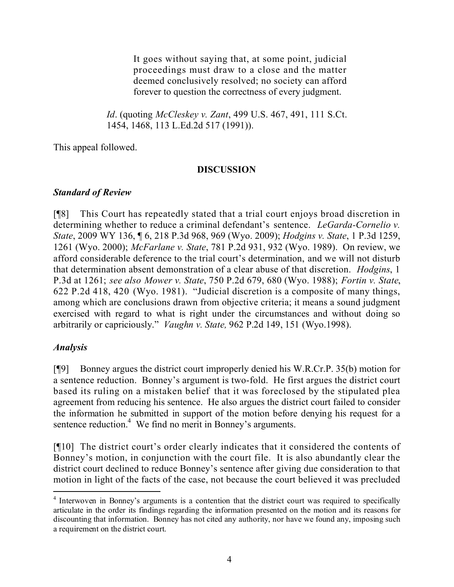It goes without saying that, at some point, judicial proceedings must draw to a close and the matter deemed conclusively resolved; no society can afford forever to question the correctness of every judgment.

*Id*. (quoting *McCleskey v. Zant*, 499 U.S. 467, 491, 111 S.Ct. 1454, 1468, 113 L.Ed.2d 517 (1991)).

This appeal followed.

## **DISCUSSION**

## *Standard of Review*

[¶8] This Court has repeatedly stated that a trial court enjoys broad discretion in determining whether to reduce a criminal defendant's sentence. *LeGarda-Cornelio v. State*, 2009 WY 136, ¶ 6, 218 P.3d 968, 969 (Wyo. 2009); *Hodgins v. State*, 1 P.3d 1259, 1261 (Wyo. 2000); *McFarlane v. State*, 781 P.2d 931, 932 (Wyo. 1989). On review, we afford considerable deference to the trial court's determination, and we will not disturb that determination absent demonstration of a clear abuse of that discretion. *Hodgins*, 1 P.3d at 1261; *see also Mower v. State*, 750 P.2d 679, 680 (Wyo. 1988); *Fortin v. State*, 622 P.2d 418, 420 (Wyo. 1981). "Judicial discretion is a composite of many things, among which are conclusions drawn from objective criteria; it means a sound judgment exercised with regard to what is right under the circumstances and without doing so arbitrarily or capriciously." *Vaughn v. State,* 962 P.2d 149, 151 (Wyo.1998).

# *Analysis*

[¶9] Bonney argues the district court improperly denied his W.R.Cr.P. 35(b) motion for a sentence reduction. Bonney's argument is two-fold. He first argues the district court based its ruling on a mistaken belief that it was foreclosed by the stipulated plea agreement from reducing his sentence. He also argues the district court failed to consider the information he submitted in support of the motion before denying his request for a sentence reduction.<sup>4</sup> We find no merit in Bonney's arguments.

[¶10] The district court's order clearly indicates that it considered the contents of Bonney's motion, in conjunction with the court file. It is also abundantly clear the district court declined to reduce Bonney's sentence after giving due consideration to that motion in light of the facts of the case, not because the court believed it was precluded

 $\overline{a}$ 

<sup>&</sup>lt;sup>4</sup> Interwoven in Bonney's arguments is a contention that the district court was required to specifically articulate in the order its findings regarding the information presented on the motion and its reasons for discounting that information. Bonney has not cited any authority, nor have we found any, imposing such a requirement on the district court.